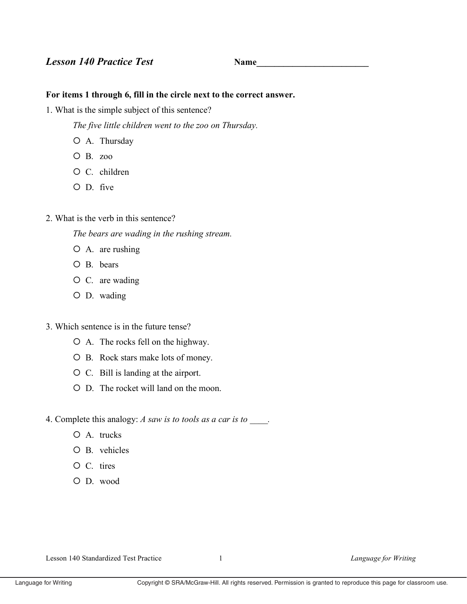## **Lesson 140 Practice Test**

## For items 1 through 6, fill in the circle next to the correct answer.

1. What is the simple subject of this sentence?

The five little children went to the zoo on Thursday.

- O A. Thursday
- $O$  B.  $zoo$
- O C. children
- $O$  D. five
- 2. What is the verb in this sentence?

The bears are wading in the rushing stream.

- O A. are rushing
- O B. bears
- $O$  C. are wading
- O D. wading
- 3. Which sentence is in the future tense?
	- O A. The rocks fell on the highway.
	- O B. Rock stars make lots of money.
	- O C. Bill is landing at the airport.
	- O D. The rocket will land on the moon.
- 4. Complete this analogy: A saw is to tools as a car is to
	- $O$  A. trucks
	- $O$  B. vehicles
	- O C. tires
	- O D. wood

Lesson 140 Standardized Test Practice

 $\mathbf{1}$ 

Language for Writing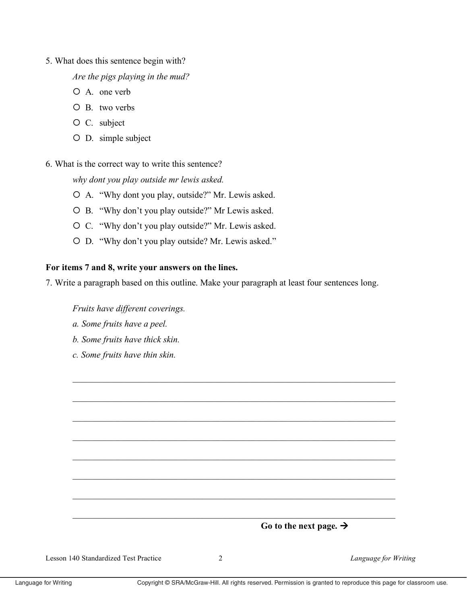5. What does this sentence begin with?

Are the pigs playing in the mud?

- O A. one verb
- $O$  B. two verbs
- O C. subject
- O D. simple subject
- 6. What is the correct way to write this sentence?

why dont you play outside mr lewis asked.

- O A. "Why dont you play, outside?" Mr. Lewis asked.
- O B. "Why don't you play outside?" Mr Lewis asked.
- O C. "Why don't you play outside?" Mr. Lewis asked.
- O D. "Why don't you play outside? Mr. Lewis asked."

## For items 7 and 8, write your answers on the lines.

7. Write a paragraph based on this outline. Make your paragraph at least four sentences long.

Fruits have different coverings.

- a. Some fruits have a peel.
- b. Some fruits have thick skin.
- c. Some fruits have thin skin.